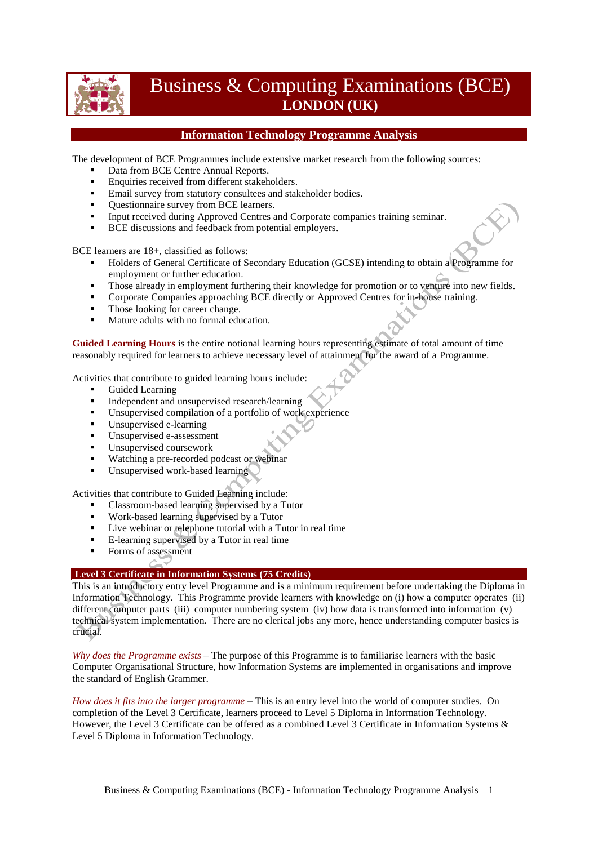

# Business & Computing Examinations (BCE) **LONDON (UK)**

# **Information Technology Programme Analysis**

The development of BCE Programmes include extensive market research from the following sources:

- Data from BCE Centre Annual Reports.
- **Enquiries received from different stakeholders.**
- **Email survey from statutory consultees and stakeholder bodies.**
- Ouestionnaire survey from BCE learners.
- Input received during Approved Centres and Corporate companies training seminar.
- **BCE** discussions and feedback from potential employers.

BCE learners are 18+, classified as follows:

- Holders of General Certificate of Secondary Education (GCSE) intending to obtain a Programme for employment or further education.
- Those already in employment furthering their knowledge for promotion or to venture into new fields.
- **Corporate Companies approaching BCE directly or Approved Centres for in-house training.**
- Those looking for career change.
- Mature adults with no formal education.

**Guided Learning Hours** is the entire notional learning hours representing estimate of total amount of time reasonably required for learners to achieve necessary level of attainment for the award of a Programme.

Activities that contribute to guided learning hours include:

- Guided Learning
- Independent and unsupervised research/learning<br>Insupervised compilation of a portfolio of work
- Unsupervised compilation of a portfolio of work experience
- **Unsupervised e-learning**
- Unsupervised e-assessment
- Unsupervised coursework
- **Watching a pre-recorded podcast or webinar**
- Unsupervised work-based learning

Activities that contribute to Guided Learning include:

- Classroom-based learning supervised by a Tutor
- Work-based learning supervised by a Tutor
- Live webinar or telephone tutorial with a Tutor in real time
- E-learning supervised by a Tutor in real time
- Forms of assessment

### **Level 3 Certificate in Information Systems (75 Credits)**

This is an introductory entry level Programme and is a minimum requirement before undertaking the Diploma in Information Technology. This Programme provide learners with knowledge on (i) how a computer operates (ii) different computer parts (iii) computer numbering system (iv) how data is transformed into information (v) technical system implementation. There are no clerical jobs any more, hence understanding computer basics is crucial.

*Why does the Programme exists* – The purpose of this Programme is to familiarise learners with the basic Computer Organisational Structure, how Information Systems are implemented in organisations and improve the standard of English Grammer.

*How does it fits into the larger programme* – This is an entry level into the world of computer studies. On completion of the Level 3 Certificate, learners proceed to Level 5 Diploma in Information Technology. However, the Level 3 Certificate can be offered as a combined Level 3 Certificate in Information Systems & Level 5 Diploma in Information Technology.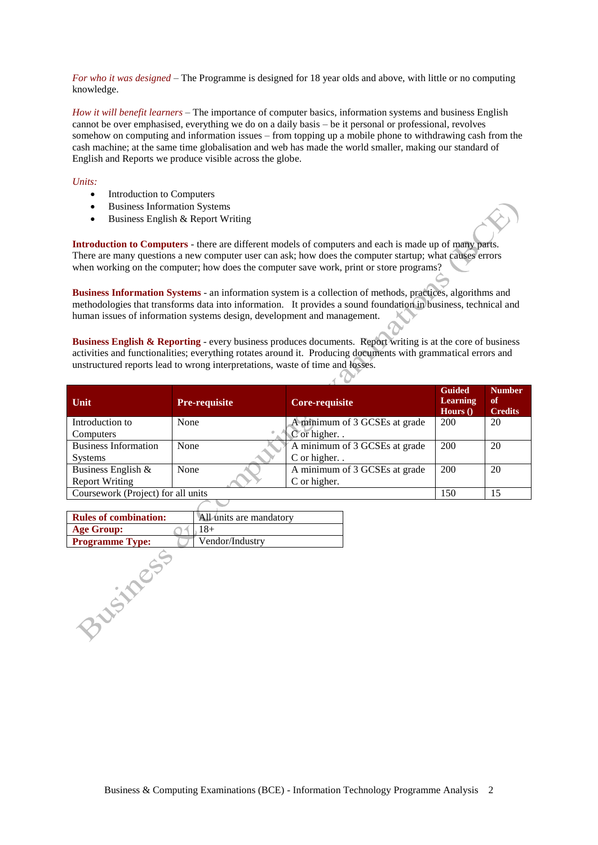*For who it was designed* – The Programme is designed for 18 year olds and above, with little or no computing knowledge.

*How it will benefit learners* – The importance of computer basics, information systems and business English cannot be over emphasised, everything we do on a daily basis – be it personal or professional, revolves somehow on computing and information issues – from topping up a mobile phone to withdrawing cash from the cash machine; at the same time globalisation and web has made the world smaller, making our standard of English and Reports we produce visible across the globe.

#### *Units:*

- Introduction to Computers
- Business Information Systems
- $\bullet$  Business English & Report Writing

**Introduction to Computers** - there are different models of computers and each is made up of many parts. There are many questions a new computer user can ask; how does the computer startup; what causes errors when working on the computer; how does the computer save work, print or store programs?

**Business Information Systems** - an information system is a collection of methods, practices, algorithms and methodologies that transforms data into information. It provides a sound foundation in business, technical and human issues of information systems design, development and management.

**Business English & Reporting** - every business produces documents. Report writing is at the core of business activities and functionalities; everything rotates around it. Producing documents with grammatical errors and unstructured reports lead to wrong interpretations, waste of time and losses.

| Unit                               | <b>Pre-requisite</b> | Core-requisite                | <b>Guided</b><br><b>Learning</b><br>Hours $()$ | <b>Number</b><br>of<br><b>Credits</b> |
|------------------------------------|----------------------|-------------------------------|------------------------------------------------|---------------------------------------|
| Introduction to                    | None                 | A minimum of 3 GCSEs at grade | 200                                            | 20                                    |
| Computers                          |                      | C or higher. .                |                                                |                                       |
| <b>Business Information</b>        | None                 | A minimum of 3 GCSEs at grade | 200                                            | 20                                    |
| <b>Systems</b>                     |                      | C or higher                   |                                                |                                       |
| Business English $\&$              | None                 | A minimum of 3 GCSEs at grade | 200                                            | 20                                    |
| <b>Report Writing</b>              |                      | C or higher.                  |                                                |                                       |
| Coursework (Project) for all units |                      |                               | 150                                            | 15                                    |

| <b>Rules of combination:</b> | All units are mandatory |
|------------------------------|-------------------------|
| <b>Age Group:</b>            | $18+$                   |
| <b>Programme Type:</b>       | Vendor/Industry         |
|                              |                         |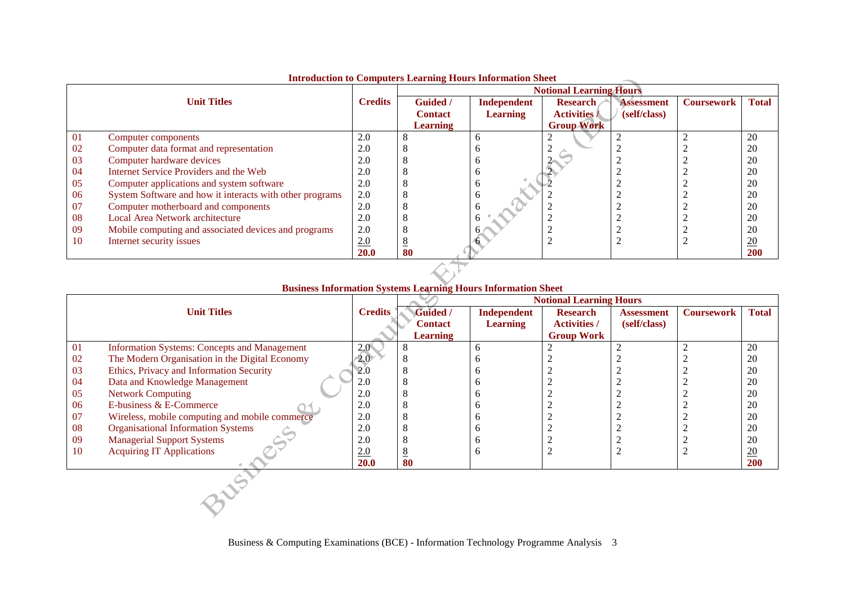|     |                                                          |                |                 |                 | <b>Notional Learning Hours</b> |                   |                   |                 |
|-----|----------------------------------------------------------|----------------|-----------------|-----------------|--------------------------------|-------------------|-------------------|-----------------|
|     | <b>Unit Titles</b>                                       | <b>Credits</b> | <b>Guided</b> / | Independent     | <b>Research</b>                | <b>Assessment</b> | <b>Coursework</b> | <b>Total</b>    |
|     |                                                          |                | <b>Contact</b>  | <b>Learning</b> | <b>Activities</b> /            | (self/class)      |                   |                 |
|     |                                                          |                | <b>Learning</b> |                 | <b>Group Work</b>              |                   |                   |                 |
| -01 | Computer components                                      | 2.0            |                 |                 |                                |                   |                   | 20              |
| 02  | Computer data format and representation                  | 2.0            |                 |                 |                                |                   |                   | 20              |
| 03  | Computer hardware devices                                | 2.0            |                 |                 |                                |                   |                   | 20              |
| 04  | Internet Service Providers and the Web                   | 2.0            |                 |                 |                                |                   |                   | 20              |
| 05  | Computer applications and system software                | 2.0            |                 |                 |                                |                   |                   | 20              |
| -06 | System Software and how it interacts with other programs | 2.0            |                 |                 |                                |                   |                   | 20              |
| 07  | Computer motherboard and components                      | 2.0            |                 |                 |                                |                   |                   | 20              |
| 08  | Local Area Network architecture                          | 2.0            |                 |                 |                                |                   |                   | 20              |
| 09  | Mobile computing and associated devices and programs     | 2.0            |                 |                 |                                |                   |                   | 20              |
| 10  | Internet security issues                                 | 2.0            |                 |                 |                                |                   |                   | $\overline{20}$ |
|     |                                                          | <b>20.0</b>    | 80              |                 |                                |                   |                   | 200             |

### **Introduction to Computers Learning Hours Information Sheet**

### **Business Information Systems Learning Hours Information Sheet**

|     |                                                     |                | <b>Notional Learning Hours</b> |                    |                     |                   |                   |              |
|-----|-----------------------------------------------------|----------------|--------------------------------|--------------------|---------------------|-------------------|-------------------|--------------|
|     | <b>Unit Titles</b>                                  | <b>Credits</b> | Guided /                       | <b>Independent</b> | <b>Research</b>     | <b>Assessment</b> | <b>Coursework</b> | <b>Total</b> |
|     |                                                     |                | <b>Contact</b>                 | <b>Learning</b>    | <b>Activities /</b> | (self/class)      |                   |              |
|     |                                                     |                | <b>Learning</b>                |                    | <b>Group Work</b>   |                   |                   |              |
| 01  | <b>Information Systems: Concepts and Management</b> | 2.0            | 8                              | <sub>0</sub>       |                     |                   |                   | 20           |
| 02  | The Modern Organisation in the Digital Economy      | 2.0            |                                |                    |                     |                   |                   | 20           |
| 03  | Ethics, Privacy and Information Security            | 2.0            | O                              |                    |                     |                   |                   | 20           |
| 04  | Data and Knowledge Management                       | 2.0            | 8                              |                    |                     |                   |                   | 20           |
| 05  | <b>Network Computing</b>                            | 2.0            | 8                              |                    |                     |                   |                   | 20           |
| 06  | E-business & E-Commerce                             | 2.0            |                                |                    |                     |                   |                   | 20           |
| 07  | Wireless, mobile computing and mobile commerce      | 2.0            | 8                              | n                  |                     |                   |                   | 20           |
| 08  | <b>Organisational Information Systems</b>           | 2.0            |                                | n                  |                     |                   |                   | 20           |
| -09 | <b>Managerial Support Systems</b>                   | 2.0            |                                | h                  |                     |                   |                   | 20           |
| 10  | <b>Acquiring IT Applications</b>                    | 2.0            | <u>8</u>                       | <sub>0</sub>       |                     |                   |                   | 20           |
|     |                                                     | 20.0           | 80                             |                    |                     |                   |                   | 200          |
|     |                                                     |                |                                |                    |                     |                   |                   |              |
|     |                                                     |                |                                |                    |                     |                   |                   |              |
|     |                                                     |                |                                |                    |                     |                   |                   |              |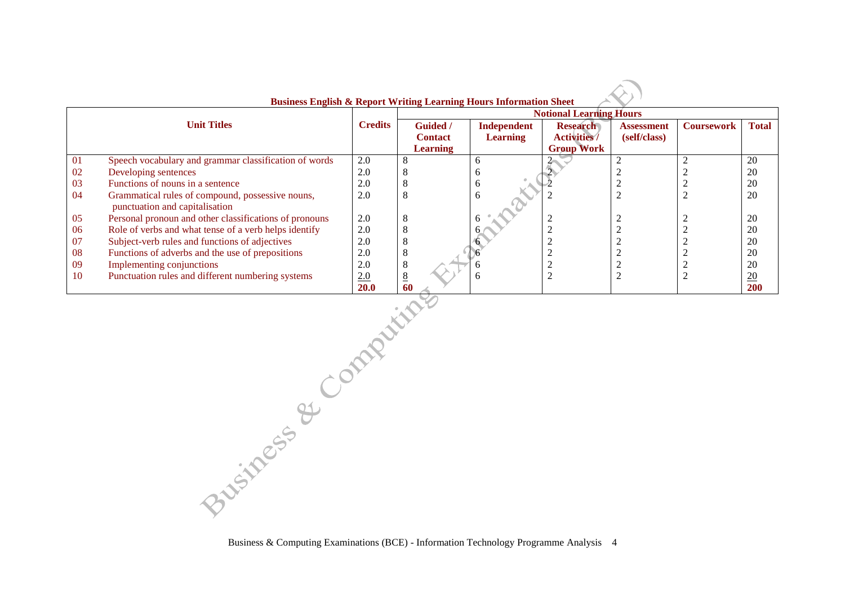|           | <b>Business English &amp; Report Writing Learning Hours Information Sheet</b> |                |                 |                 |                                |                   |                   |                  |
|-----------|-------------------------------------------------------------------------------|----------------|-----------------|-----------------|--------------------------------|-------------------|-------------------|------------------|
|           |                                                                               |                |                 |                 | <b>Notional Learning Hours</b> |                   |                   |                  |
|           | <b>Unit Titles</b>                                                            | <b>Credits</b> | <b>Guided</b> / | Independent     | <b>Research</b>                | <b>Assessment</b> | <b>Coursework</b> | <b>Total</b>     |
|           |                                                                               |                | <b>Contact</b>  | <b>Learning</b> | <b>Activities</b> /            | (self/class)      |                   |                  |
|           |                                                                               |                | <b>Learning</b> |                 | <b>Group Work</b>              |                   |                   |                  |
| 01        | Speech vocabulary and grammar classification of words                         | 2.0            | 8               | n               |                                |                   |                   | 20               |
| 02        | Developing sentences                                                          | 2.0            | ◠               |                 |                                |                   |                   | 20               |
| 03        | Functions of nouns in a sentence                                              | 2.0            | 8               | n               |                                |                   |                   | 20               |
| -04       | Grammatical rules of compound, possessive nouns,                              | 2.0            | 8               | h               |                                |                   |                   | 20               |
|           | punctuation and capitalisation                                                |                |                 |                 |                                |                   |                   |                  |
| 05        | Personal pronoun and other classifications of pronouns                        | 2.0            | 8               |                 |                                |                   |                   | 20               |
| 06        | Role of verbs and what tense of a verb helps identify                         | 2.0            | 8               |                 |                                |                   |                   | 20               |
| 07        | Subject-verb rules and functions of adjectives                                | 2.0            | 8               |                 |                                |                   |                   | 20               |
| 08        | Functions of adverbs and the use of prepositions                              | 2.0            | 8               |                 |                                |                   |                   | 20               |
| -09       | Implementing conjunctions                                                     | 2.0            | 8               |                 |                                |                   |                   | 20               |
| <b>10</b> | Punctuation rules and different numbering systems                             | 2.0            | $8\overline{8}$ | n               |                                |                   |                   | $\underline{20}$ |
|           |                                                                               | <b>20.0</b>    | 60              |                 |                                |                   |                   | 200              |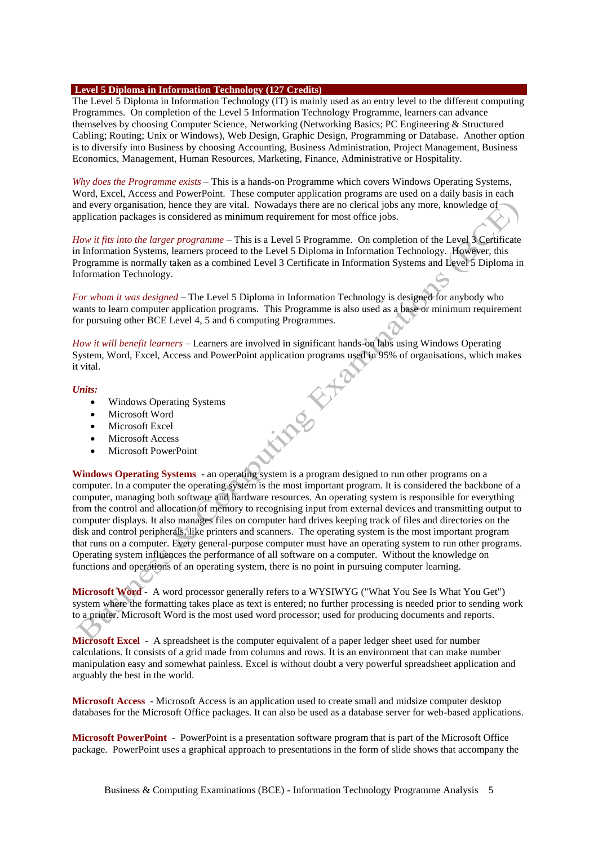### **Level 5 Diploma in Information Technology (127 Credits)**

The Level 5 Diploma in Information Technology (IT) is mainly used as an entry level to the different computing Programmes. On completion of the Level 5 Information Technology Programme, learners can advance themselves by choosing Computer Science, Networking (Networking Basics; PC Engineering & Structured Cabling; Routing; Unix or Windows), Web Design, Graphic Design, Programming or Database. Another option is to diversify into Business by choosing Accounting, Business Administration, Project Management, Business Economics, Management, Human Resources, Marketing, Finance, Administrative or Hospitality.

*Why does the Programme exists* – This is a hands-on Programme which covers Windows Operating Systems, Word, Excel, Access and PowerPoint. These computer application programs are used on a daily basis in each and every organisation, hence they are vital. Nowadays there are no clerical jobs any more, knowledge of application packages is considered as minimum requirement for most office jobs.

*How it fits into the larger programme* – This is a Level 5 Programme. On completion of the Level 3 Certificate in Information Systems, learners proceed to the Level 5 Diploma in Information Technology. However, this Programme is normally taken as a combined Level 3 Certificate in Information Systems and Level 5 Diploma in Information Technology.

*For whom it was designed* – The Level 5 Diploma in Information Technology is designed for anybody who wants to learn computer application programs. This Programme is also used as a base or minimum requirement for pursuing other BCE Level 4, 5 and 6 computing Programmes.

*How it will benefit learners* – Learners are involved in significant hands-on labs using Windows Operating System, Word, Excel, Access and PowerPoint application programs used in 95% of organisations, which makes<br>
it vital.<br>
Units:<br>
• Windows Operating Systems<br>
• Microsoft Word<br>
• Microsoft Access<br>
• Microsoft Pit vital.

#### *Units:*

- Windows Operating Systems
- Microsoft Word
- Microsoft Excel
- Microsoft Access
- Microsoft PowerPoint

**Windows Operating Systems** - an operating system is a program designed to run other programs on a computer. In a computer the operating system is the most important program. It is considered the backbone of a computer, managing both software and hardware resources. An operating system is responsible for everything from the control and allocation of memory to recognising input from external devices and transmitting output to computer displays. It also manages files on computer hard drives keeping track of files and directories on the disk and control peripherals, like printers and scanners. The operating system is the most important program that runs on a computer. Every general-purpose computer must have an operating system to run other programs. Operating system influences the performance of all software on a computer. Without the knowledge on functions and operations of an operating system, there is no point in pursuing computer learning.

**Microsoft Word** - A word processor generally refers to a WYSIWYG ("What You See Is What You Get") system where the formatting takes place as text is entered; no further processing is needed prior to sending work to a printer. Microsoft Word is the most used word processor; used for producing documents and reports.

**Microsoft Excel** - A spreadsheet is the computer equivalent of a paper ledger sheet used for number calculations. It consists of a grid made from columns and rows. It is an environment that can make number manipulation easy and somewhat painless. Excel is without doubt a very powerful spreadsheet application and arguably the best in the world.

**Microsoft Access** - Microsoft Access is an application used to create small and midsize computer desktop databases for the Microsoft Office packages. It can also be used as a database server for web-based applications.

**Microsoft PowerPoint** - PowerPoint is a presentation software program that is part of the Microsoft Office package. PowerPoint uses a graphical approach to presentations in the form of slide shows that accompany the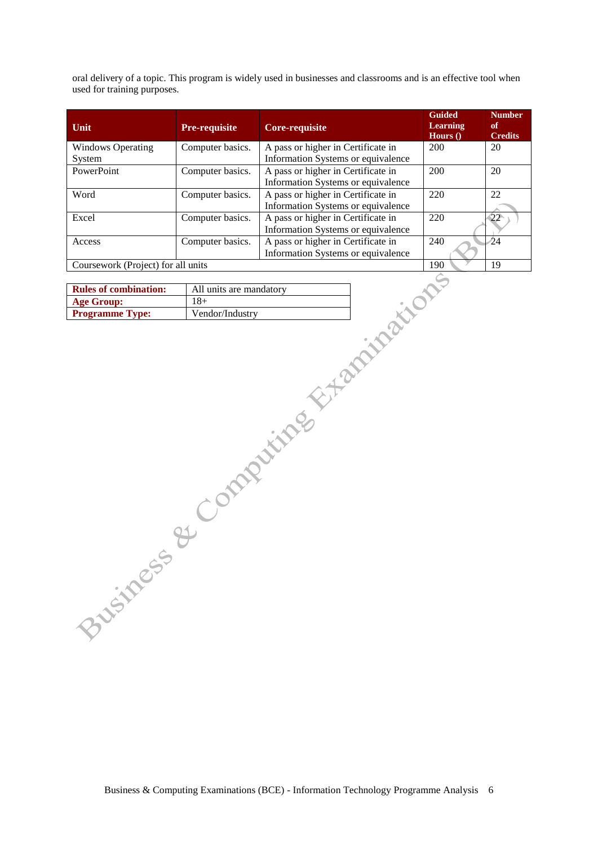oral delivery of a topic. This program is widely used in businesses and classrooms and is an effective tool when used for training purposes.

| Unit                               | <b>Pre-requisite</b> | Core-requisite                     | <b>Guided</b><br><b>Learning</b><br>Hours $()$ | <b>Number</b><br>of<br><b>Credits</b> |
|------------------------------------|----------------------|------------------------------------|------------------------------------------------|---------------------------------------|
| <b>Windows Operating</b>           | Computer basics.     | A pass or higher in Certificate in | 200                                            | 20                                    |
| System                             |                      | Information Systems or equivalence |                                                |                                       |
| PowerPoint                         | Computer basics.     | A pass or higher in Certificate in | 200                                            | 20                                    |
|                                    |                      | Information Systems or equivalence |                                                |                                       |
| Word                               | Computer basics.     | A pass or higher in Certificate in | 220                                            | 22                                    |
|                                    |                      | Information Systems or equivalence |                                                |                                       |
| Excel                              | Computer basics.     | A pass or higher in Certificate in | 220                                            | 22                                    |
|                                    |                      | Information Systems or equivalence |                                                |                                       |
| Access                             | Computer basics.     | A pass or higher in Certificate in | 240                                            | ⁄24                                   |
|                                    |                      | Information Systems or equivalence |                                                |                                       |
| Coursework (Project) for all units |                      |                                    | 190                                            | 19                                    |

| <b>Rules of combination:</b> | All units are mandatory |
|------------------------------|-------------------------|
| <b>Age Group:</b>            | 18+                     |
| <b>Programme Type:</b>       | Vendor/Industry         |

Business & Computing Examinations (BCE) - Information Technology Programme Analysis 6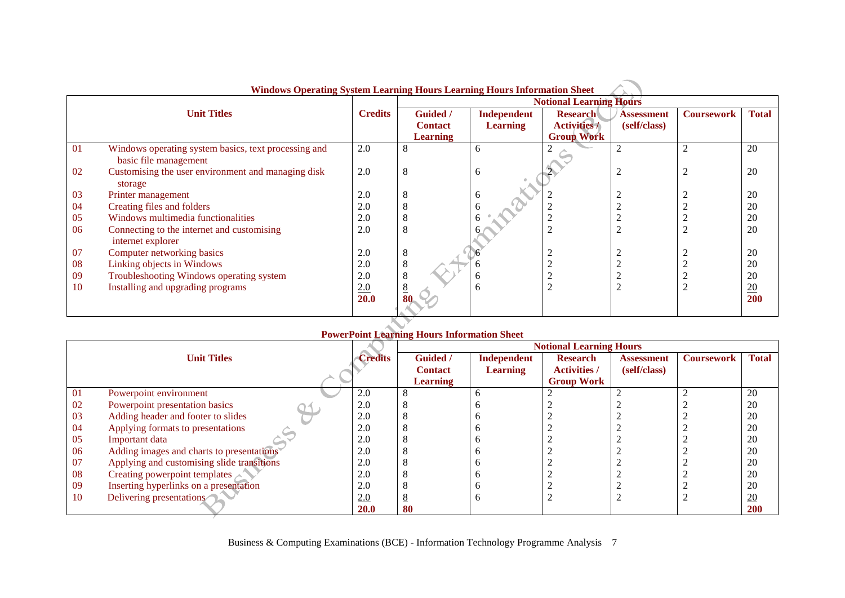|    | <b>Windows Operating System Learning Hours Learning Hours Information Sheet</b> |                |                                                      |                                |                                                             |                                   |                   |                  |
|----|---------------------------------------------------------------------------------|----------------|------------------------------------------------------|--------------------------------|-------------------------------------------------------------|-----------------------------------|-------------------|------------------|
|    |                                                                                 |                |                                                      |                                | <b>Notional Learning Hours</b>                              |                                   |                   |                  |
|    | <b>Unit Titles</b>                                                              | <b>Credits</b> | <b>Guided</b> /<br><b>Contact</b><br><b>Learning</b> | Independent<br><b>Learning</b> | <b>Research</b><br><b>Activities /</b><br><b>Group Work</b> | <b>Assessment</b><br>(self/class) | <b>Coursework</b> | <b>Total</b>     |
| 01 | Windows operating system basics, text processing and<br>basic file management   | 2.0            | 8                                                    | 6                              |                                                             |                                   |                   | 20               |
| 02 | Customising the user environment and managing disk<br>storage                   | 2.0            | 8                                                    | 6                              |                                                             | 2                                 |                   | 20               |
| 03 | Printer management                                                              | 2.0            | 8                                                    | <sub>6</sub>                   |                                                             |                                   |                   | 20               |
| 04 | Creating files and folders                                                      | 2.0            | O                                                    |                                |                                                             |                                   |                   | 20               |
| 05 | Windows multimedia functionalities                                              | 2.0            |                                                      |                                |                                                             |                                   |                   | 20               |
| 06 | Connecting to the internet and customising<br>internet explorer                 | 2.0            | 8                                                    |                                |                                                             |                                   |                   | 20               |
| 07 | Computer networking basics                                                      | 2.0            | 8                                                    |                                | 2                                                           |                                   |                   | 20               |
| 08 | Linking objects in Windows                                                      | 2.0            | 8                                                    |                                |                                                             | $\bigcap$                         |                   | 20               |
| 09 | Troubleshooting Windows operating system                                        | 2.0            | 8                                                    | $\sigma$                       |                                                             |                                   |                   | 20               |
| 10 | Installing and upgrading programs                                               | 2.0            |                                                      | h                              | 2                                                           |                                   |                   | $\underline{20}$ |
|    |                                                                                 | <b>20.0</b>    |                                                      |                                |                                                             |                                   |                   | 200              |

#### з£ **Windows Operating System Learning Hours Learning Hours Information Sheet**

# **PowerPoint Learning Hours Information Sheet**

|    |                                            |                | <b>Notional Learning Hours</b> |                    |                     |                   |                   |                 |
|----|--------------------------------------------|----------------|--------------------------------|--------------------|---------------------|-------------------|-------------------|-----------------|
|    | <b>Unit Titles</b>                         | <b>Credits</b> | <b>Guided</b> /                | <b>Independent</b> | <b>Research</b>     | <b>Assessment</b> | <b>Coursework</b> | <b>Total</b>    |
|    |                                            |                | <b>Contact</b>                 | <b>Learning</b>    | <b>Activities /</b> | (self/class)      |                   |                 |
|    |                                            |                | <b>Learning</b>                |                    | <b>Group Work</b>   |                   |                   |                 |
| 01 | Powerpoint environment                     | 2.0            |                                |                    |                     |                   |                   | 20              |
| 02 | Powerpoint presentation basics             | 2.0            |                                |                    |                     |                   |                   | 20              |
| 03 | Adding header and footer to slides         | 2.0            |                                |                    |                     |                   |                   | 20              |
| 04 | Applying formats to presentations          | 2.0            |                                |                    |                     |                   |                   | 20              |
| 05 | Important data                             | 2.0            |                                |                    |                     |                   |                   | 20              |
| 06 | Adding images and charts to presentations  | 2.0            |                                |                    |                     |                   |                   | 20              |
| 07 | Applying and customising slide transitions | 2.0            |                                |                    |                     |                   |                   | 20              |
| 08 | Creating powerpoint templates              | 2.0            |                                |                    |                     |                   |                   | 20              |
| 09 | Inserting hyperlinks on a presentation     | 2.0            |                                |                    |                     |                   |                   | 20              |
| 10 | Delivering presentations                   | 2.0            |                                |                    |                     |                   |                   | $\overline{20}$ |
|    |                                            | <b>20.0</b>    | 80                             |                    |                     |                   |                   | <b>200</b>      |

Business & Computing Examinations (BCE) - Information Technology Programme Analysis 7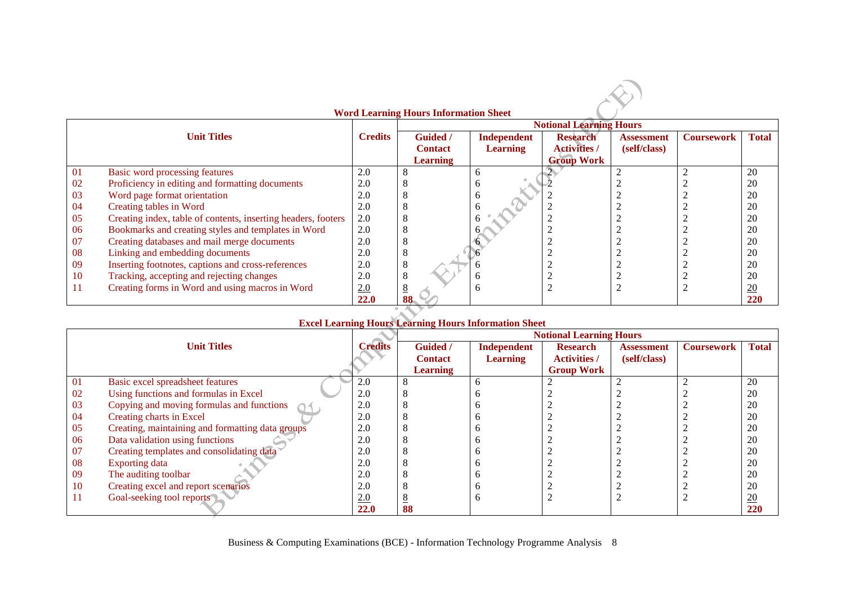|    |                                                               |                | <b>Word Learning Hours Information Sheet</b> |                    |                                |                   |                   |              |
|----|---------------------------------------------------------------|----------------|----------------------------------------------|--------------------|--------------------------------|-------------------|-------------------|--------------|
|    |                                                               |                |                                              |                    | <b>Notional Learning Hours</b> |                   |                   |              |
|    | <b>Unit Titles</b>                                            | <b>Credits</b> | Guided /                                     | <b>Independent</b> | <b>Research</b>                | <b>Assessment</b> | <b>Coursework</b> | <b>Total</b> |
|    |                                                               |                | <b>Contact</b>                               | <b>Learning</b>    | <b>Activities</b> /            | (self/class)      |                   |              |
|    |                                                               |                | <b>Learning</b>                              |                    | <b>Group Work</b>              |                   |                   |              |
| 01 | Basic word processing features                                | 2.0            |                                              | 6                  |                                |                   |                   | 20           |
| 02 | Proficiency in editing and formatting documents               | 2.0            |                                              |                    |                                |                   |                   | 20           |
| 03 | Word page format orientation                                  | 2.0            |                                              | h                  |                                |                   |                   | 20           |
| 04 | Creating tables in Word                                       | 2.0            |                                              |                    |                                |                   |                   | 20           |
| 05 | Creating index, table of contents, inserting headers, footers | 2.0            |                                              |                    |                                |                   |                   | 20           |
| 06 | Bookmarks and creating styles and templates in Word           | 2.0            |                                              |                    |                                |                   |                   | 20           |
| 07 | Creating databases and mail merge documents                   | 2.0            |                                              |                    |                                |                   |                   | 20           |
| 08 | Linking and embedding documents                               | 2.0            | 8                                            |                    |                                |                   |                   | 20           |
| 09 | Inserting footnotes, captions and cross-references            | 2.0            | ð                                            |                    |                                |                   |                   | 20           |
| 10 | Tracking, accepting and rejecting changes                     | 2.0            |                                              | h                  |                                |                   |                   | 20           |
| 11 | Creating forms in Word and using macros in Word               | 2.0            |                                              | h                  | $\overline{2}$                 |                   |                   | 20           |
|    |                                                               | <b>22.0</b>    | 88                                           |                    |                                |                   |                   | 220          |

# **Excel Learning Hours Learning Hours Information Sheet**

|    |                                                  |                |                 | <b>EACG LCarming Trours Lcarming Trours Information Succe</b> | <b>Notional Learning Hours</b> |                   |                   |                 |
|----|--------------------------------------------------|----------------|-----------------|---------------------------------------------------------------|--------------------------------|-------------------|-------------------|-----------------|
|    | <b>Unit Titles</b>                               | <b>Credits</b> | <b>Guided</b> / | <b>Independent</b>                                            | <b>Research</b>                | <b>Assessment</b> | <b>Coursework</b> | <b>Total</b>    |
|    |                                                  |                | <b>Contact</b>  | <b>Learning</b>                                               | <b>Activities /</b>            | (self/class)      |                   |                 |
|    |                                                  |                | <b>Learning</b> |                                                               | <b>Group Work</b>              |                   |                   |                 |
| 01 | Basic excel spreadsheet features                 | 2.0            |                 |                                                               |                                |                   |                   | 20              |
| 02 | Using functions and formulas in Excel            | 2.0            |                 |                                                               |                                |                   |                   | 20              |
| 03 | Copying and moving formulas and functions        | 2.0            |                 |                                                               |                                |                   |                   | 20              |
| 04 | Creating charts in Excel                         | 2.0            |                 |                                                               |                                |                   |                   | 20              |
| 05 | Creating, maintaining and formatting data groups | 2.0            |                 |                                                               |                                |                   |                   | 20              |
| 06 | Data validation using functions                  | 2.0            |                 |                                                               |                                |                   |                   | 20              |
| 07 | Creating templates and consolidating data        | 2.0            |                 |                                                               |                                |                   |                   | 20              |
| 08 | <b>Exporting data</b>                            | 2.0            |                 |                                                               |                                |                   |                   | 20              |
| 09 | The auditing toolbar                             | 2.0            |                 |                                                               |                                |                   |                   | 20              |
| 10 | Creating excel and report scenarios              | 2.0            |                 |                                                               |                                |                   |                   | 20              |
|    | Goal-seeking tool reports                        | 2.0            |                 |                                                               |                                |                   |                   | $\overline{20}$ |
|    |                                                  | <b>22.0</b>    | 88              |                                                               |                                |                   |                   | 220             |

Business & Computing Examinations (BCE) - Information Technology Programme Analysis 8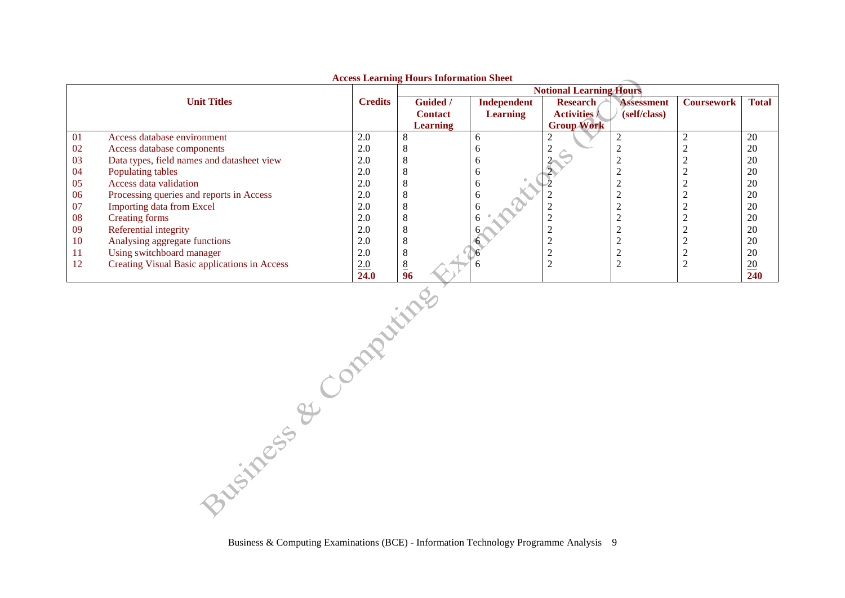|    |                                              |                | Access Learning Hours Information Sheet |                                | <b>Notional Learning Hours</b>         |                                   |                   |                 |
|----|----------------------------------------------|----------------|-----------------------------------------|--------------------------------|----------------------------------------|-----------------------------------|-------------------|-----------------|
|    | <b>Unit Titles</b>                           | <b>Credits</b> | <b>Guided</b> /<br><b>Contact</b>       | Independent<br><b>Learning</b> | <b>Research</b><br><b>Activities /</b> | <b>Assessment</b><br>(self/class) | <b>Coursework</b> | <b>Total</b>    |
|    |                                              |                | <b>Learning</b>                         |                                | <b>Group Work</b>                      |                                   |                   |                 |
| 01 | Access database environment                  | 2.0            | ◠                                       | h                              |                                        |                                   |                   | 20              |
| 02 | Access database components                   | 2.0            | Õ                                       | n                              |                                        |                                   |                   | 20              |
| 03 | Data types, field names and datasheet view   | 2.0            | 8                                       |                                |                                        |                                   |                   | 20              |
| 04 | Populating tables                            | 2.0            |                                         |                                |                                        |                                   |                   | 20              |
| 05 | Access data validation                       | 2.0            |                                         |                                |                                        |                                   |                   | 20              |
| 06 | Processing queries and reports in Access     | 2.0            | Õ                                       | b                              |                                        |                                   |                   | 20              |
| 07 | <b>Importing data from Excel</b>             | 2.0            |                                         |                                |                                        |                                   |                   | 20              |
| 08 | Creating forms                               | 2.0            | ◠                                       |                                |                                        |                                   |                   | 20              |
| 09 | Referential integrity                        | 2.0            | ◠                                       |                                |                                        |                                   |                   | 20              |
| 10 | Analysing aggregate functions                | 2.0            | 8                                       |                                |                                        |                                   |                   | 20              |
| 11 | Using switchboard manager                    | 2.0            | 8                                       |                                |                                        |                                   |                   | 20              |
| 12 | Creating Visual Basic applications in Access | 2.0            | 8                                       |                                |                                        |                                   |                   | $\overline{20}$ |
|    |                                              | 24.0           | 96                                      |                                |                                        |                                   |                   | <b>240</b>      |

**Access Learning Hours Information Sheet**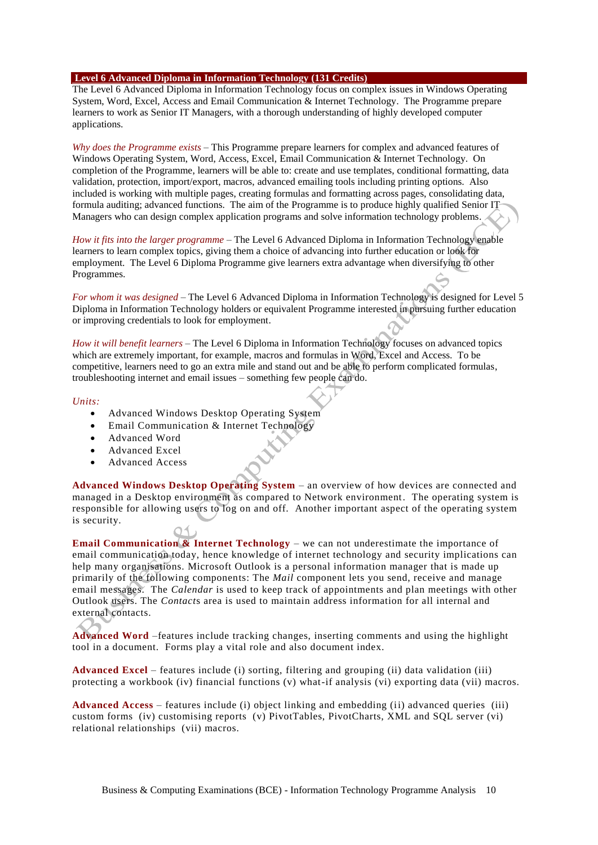### **Level 6 Advanced Diploma in Information Technology (131 Credits)**

The Level 6 Advanced Diploma in Information Technology focus on complex issues in Windows Operating System, Word, Excel, Access and Email Communication & Internet Technology. The Programme prepare learners to work as Senior IT Managers, with a thorough understanding of highly developed computer applications.

*Why does the Programme exists* – This Programme prepare learners for complex and advanced features of Windows Operating System, Word, Access, Excel, Email Communication & Internet Technology. On completion of the Programme, learners will be able to: create and use templates, conditional formatting, data validation, protection, import/export, macros, advanced emailing tools including printing options. Also included is working with multiple pages, creating formulas and formatting across pages, consolidating data, formula auditing; advanced functions. The aim of the Programme is to produce highly qualified Senior IT Managers who can design complex application programs and solve information technology problems.

*How it fits into the larger programme* – The Level 6 Advanced Diploma in Information Technology enable learners to learn complex topics, giving them a choice of advancing into further education or look for employment. The Level 6 Diploma Programme give learners extra advantage when diversifying to other Programmes.

*For whom it was designed* – The Level 6 Advanced Diploma in Information Technology is designed for Level 5 Diploma in Information Technology holders or equivalent Programme interested in pursuing further education or improving credentials to look for employment.

*How it will benefit learners* – The Level 6 Diploma in Information Technology focuses on advanced topics which are extremely important, for example, macros and formulas in Word, Excel and Access. To be competitive, learners need to go an extra mile and stand out and be able to perform complicated formulas, troubleshooting internet and email issues – something few people can do.

### *Units:*

- Advanced Windows Desktop Operating System
- Email Communication & Internet Technology
- Advanced Word
- Advanced Excel
- Advanced Access

**Advanced Windows Desktop Operating System** – an overview of how devices are connected and managed in a Desktop environment as compared to Network environment. The operating system is responsible for allowing users to log on and off. Another important aspect of the operating system is security.

**Email Communication & Internet Technology** – we can not underestimate the importance of email communication today, hence knowledge of internet technology and security implications can help many organisations. Microsoft Outlook is a personal information manager that is made up primarily of the following components: The *Mail* component lets you send, receive and manage email messages. The *Calendar* is used to keep track of appointments and plan meetings with other Outlook users. The *Contact*s area is used to maintain address information for all internal and external contacts.

**Advanced Word** –features include tracking changes, inserting comments and using the highlight tool in a document. Forms play a vital role and also document index.

**Advanced Excel** – features include (i) sorting, filtering and grouping (ii) data validation (iii) protecting a workbook (iv) financial functions (v) what-if analysis (vi) exporting data (vii) macros.

**Advanced Access** – features include (i) object linking and embedding (ii) advanced queries (iii) custom forms (iv) customising reports (v) PivotTables, PivotCharts, XML and SQL server (vi) relational relationships (vii) macros.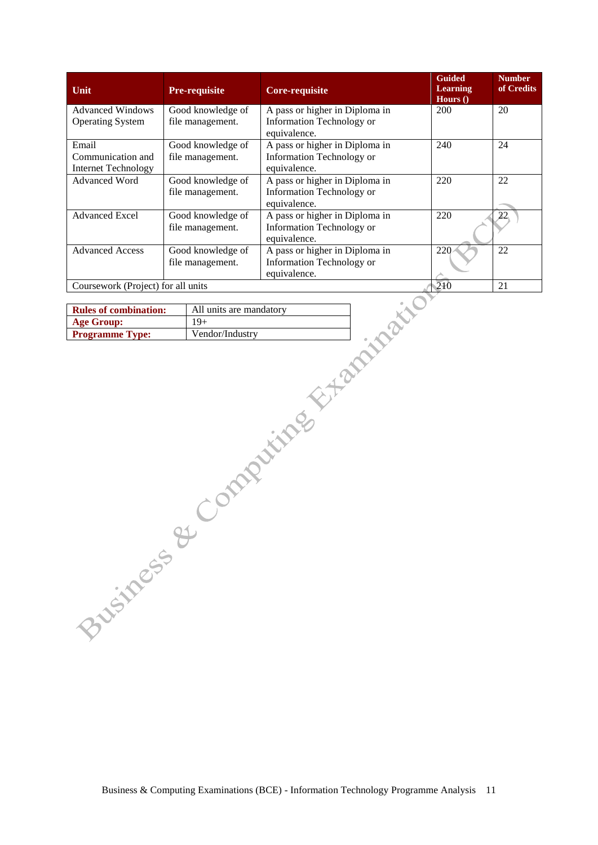| Unit                                                     | <b>Pre-requisite</b>                  | <b>Core-requisite</b>                                                                       | <b>Guided</b><br><b>Learning</b><br>Hours $()$ | <b>Number</b><br>of Credits |  |  |
|----------------------------------------------------------|---------------------------------------|---------------------------------------------------------------------------------------------|------------------------------------------------|-----------------------------|--|--|
| <b>Advanced Windows</b><br><b>Operating System</b>       | Good knowledge of<br>file management. | A pass or higher in Diploma in<br>Information Technology or                                 | 200                                            | 20                          |  |  |
| Email<br>Communication and<br><b>Internet Technology</b> | Good knowledge of<br>file management. | equivalence.<br>A pass or higher in Diploma in<br>Information Technology or<br>equivalence. | 240                                            | 24                          |  |  |
| <b>Advanced Word</b>                                     | Good knowledge of<br>file management. | A pass or higher in Diploma in<br>Information Technology or<br>equivalence.                 | 220                                            | 22                          |  |  |
| <b>Advanced Excel</b>                                    | Good knowledge of<br>file management. | A pass or higher in Diploma in<br>Information Technology or<br>equivalence.                 | 220                                            | 22                          |  |  |
| <b>Advanced Access</b>                                   | Good knowledge of<br>file management. | A pass or higher in Diploma in<br>Information Technology or<br>equivalence.                 | 220                                            | 22                          |  |  |
|                                                          | Coursework (Project) for all units    |                                                                                             |                                                |                             |  |  |

| <b>Rules of combination:</b> | All units are mandatory |
|------------------------------|-------------------------|
| <b>Age Group:</b>            | $19+$                   |
| <b>Programme Type:</b>       | Vendor/Industry         |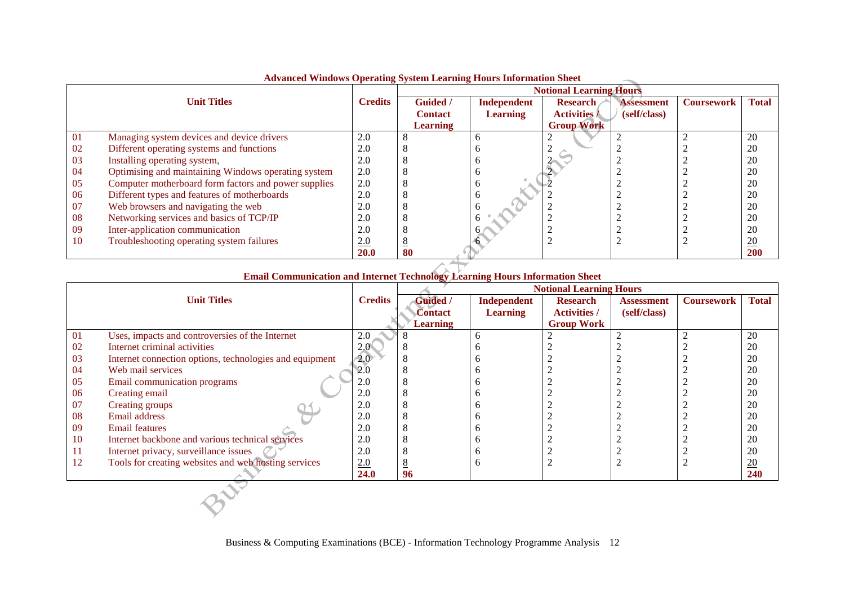|                    |                                                      | $\alpha$ , ance $\alpha$ , may $\alpha$ , eperating $\beta$ , seem now ming rrows information sheet<br><b>Notional Learning Hours</b> |                 |                 |                     |                   |                   |              |
|--------------------|------------------------------------------------------|---------------------------------------------------------------------------------------------------------------------------------------|-----------------|-----------------|---------------------|-------------------|-------------------|--------------|
| <b>Unit Titles</b> |                                                      | <b>Credits</b>                                                                                                                        | <b>Guided</b> / | Independent     | <b>Research</b>     | <b>Assessment</b> | <b>Coursework</b> | <b>Total</b> |
|                    |                                                      |                                                                                                                                       | <b>Contact</b>  | <b>Learning</b> | <b>Activities</b> / | (self/class)      |                   |              |
|                    |                                                      |                                                                                                                                       | <b>Learning</b> |                 | <b>Group Work</b>   |                   |                   |              |
| 01                 | Managing system devices and device drivers           | 2.0                                                                                                                                   |                 |                 |                     |                   |                   | 20           |
| 02                 | Different operating systems and functions            | 2.0                                                                                                                                   |                 |                 |                     |                   |                   | 20           |
| 03                 | Installing operating system,                         | 2.0                                                                                                                                   |                 |                 |                     |                   |                   | 20           |
| 04                 | Optimising and maintaining Windows operating system  | 2.0                                                                                                                                   |                 |                 |                     |                   |                   | 20           |
| 05                 | Computer motherboard form factors and power supplies | 2.0                                                                                                                                   |                 |                 |                     |                   |                   | 20           |
| 06                 | Different types and features of motherboards         | 2.0                                                                                                                                   |                 |                 |                     |                   |                   | 20           |
| 07                 | Web browsers and navigating the web                  | 2.0                                                                                                                                   |                 |                 |                     |                   |                   | 20           |
| 08                 | Networking services and basics of TCP/IP             | 2.0                                                                                                                                   |                 |                 |                     |                   |                   | 20           |
| 09                 | Inter-application communication                      | 2.0                                                                                                                                   |                 |                 |                     |                   |                   | 20           |
| 10                 | Troubleshooting operating system failures            | 2.0                                                                                                                                   |                 |                 |                     |                   |                   | 20           |
|                    |                                                      | <b>20.0</b>                                                                                                                           | 80              |                 |                     |                   |                   | 200          |

## **Advanced Windows Operating System Learning Hours Information Sheet**

|                    | Email Communication and Internet Technology Learning Hours Information Sheet |               |                                |                    |                     |                   |                   |              |  |
|--------------------|------------------------------------------------------------------------------|---------------|--------------------------------|--------------------|---------------------|-------------------|-------------------|--------------|--|
|                    |                                                                              |               | <b>Notional Learning Hours</b> |                    |                     |                   |                   |              |  |
| <b>Unit Titles</b> |                                                                              |               | Guided /                       | <b>Independent</b> | <b>Research</b>     | <b>Assessment</b> | <b>Coursework</b> | <b>Total</b> |  |
|                    |                                                                              |               | Contact                        | <b>Learning</b>    | <b>Activities</b> / | (self/class)      |                   |              |  |
|                    |                                                                              |               | Learning                       |                    | <b>Group Work</b>   |                   |                   |              |  |
| 01                 | Uses, impacts and controversies of the Internet                              | 2.0           |                                | h                  |                     |                   |                   | 20           |  |
| 02                 | Internet criminal activities                                                 | $2.0^{\circ}$ |                                |                    |                     |                   |                   | 20           |  |
| 03                 | Internet connection options, technologies and equipment                      | 2.0<          |                                | n                  |                     |                   |                   | 20           |  |
| 04                 | Web mail services                                                            | 2.0           |                                |                    |                     |                   |                   | 20           |  |
| 05                 | Email communication programs                                                 | 2.0           | Δ                              |                    |                     |                   |                   | 20           |  |
| 06                 | Creating email                                                               | 2.0           |                                |                    |                     |                   |                   | 20           |  |
| 07                 | Creating groups                                                              | 2.0           |                                |                    |                     |                   |                   | 20           |  |
| 08                 | Email address                                                                | 2.0           |                                |                    |                     |                   |                   | 20           |  |
| 09                 | <b>Email features</b>                                                        | 2.0           |                                |                    |                     |                   |                   | 20           |  |
| 10                 | Internet backbone and various technical services                             | 2.0           |                                | n                  |                     |                   |                   | 20           |  |
| 11                 | Internet privacy, surveillance issues                                        | 2.0           |                                |                    |                     |                   |                   | 20           |  |
| 12                 | Tools for creating websites and web hosting services                         | 2.0           | ▵                              | n                  |                     |                   |                   | 20           |  |
|                    |                                                                              | 24.0          | 96                             |                    |                     |                   |                   | 240          |  |
|                    |                                                                              |               |                                |                    |                     |                   |                   |              |  |
|                    |                                                                              |               |                                |                    |                     |                   |                   |              |  |
|                    |                                                                              |               |                                |                    |                     |                   |                   |              |  |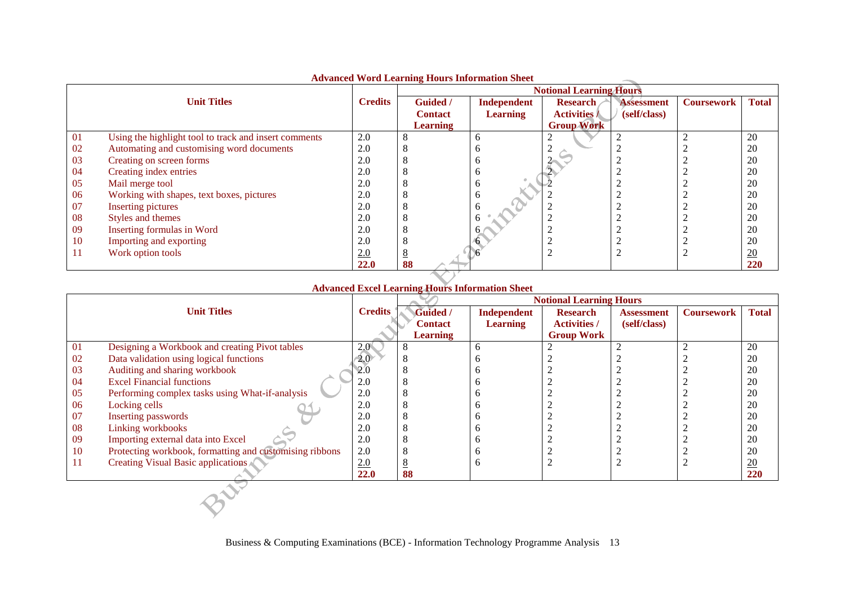|     |                                                       |                | <i><b>TWO ancea</b></i> World Ecarning Hours have mation sheet<br><b>Notional Learning Hours</b> |                                |                                        |                                   |                   |                  |
|-----|-------------------------------------------------------|----------------|--------------------------------------------------------------------------------------------------|--------------------------------|----------------------------------------|-----------------------------------|-------------------|------------------|
|     | <b>Unit Titles</b>                                    | <b>Credits</b> | Guided /<br><b>Contact</b>                                                                       | Independent<br><b>Learning</b> | <b>Research</b><br><b>Activities /</b> | <b>Assessment</b><br>(self/class) | <b>Coursework</b> | <b>Total</b>     |
|     |                                                       |                | <b>Learning</b>                                                                                  |                                | <b>Group Work</b>                      |                                   |                   |                  |
|     |                                                       |                |                                                                                                  |                                |                                        |                                   |                   | 20               |
| 01  | Using the highlight tool to track and insert comments | 2.0            |                                                                                                  | n                              |                                        |                                   |                   |                  |
| 02  | Automating and customising word documents             | 2.0            |                                                                                                  |                                |                                        |                                   |                   | 20               |
| 03  | Creating on screen forms                              | 2.0            |                                                                                                  |                                |                                        |                                   |                   | 20               |
| 04  | Creating index entries                                | 2.0            |                                                                                                  | o                              |                                        |                                   |                   | 20               |
| 05  | Mail merge tool                                       | 2.0            |                                                                                                  | n                              |                                        |                                   |                   | 20               |
| 06  | Working with shapes, text boxes, pictures             | 2.0            |                                                                                                  | o                              |                                        |                                   |                   | 20               |
| -07 | <b>Inserting pictures</b>                             | 2.0            |                                                                                                  |                                |                                        |                                   |                   | 20               |
| 08  | Styles and themes                                     | 2.0            |                                                                                                  |                                |                                        |                                   |                   | 20               |
| 09  | Inserting formulas in Word                            | 2.0            |                                                                                                  |                                |                                        |                                   |                   | 20               |
| 10  | Importing and exporting                               | 2.0            |                                                                                                  |                                |                                        |                                   |                   | 20               |
| 11  | Work option tools                                     | 2.0            |                                                                                                  |                                |                                        |                                   |                   | $\underline{20}$ |
|     |                                                       | 22.0           | 88                                                                                               |                                |                                        |                                   |                   | 220              |

### **Advanced Word Learning Hours Information Sheet**

# **Advanced Excel Learning Hours Information Sheet**

|    |                                                         |                | <b>Notional Learning Hours</b> |                 |                     |                   |                   |                  |
|----|---------------------------------------------------------|----------------|--------------------------------|-----------------|---------------------|-------------------|-------------------|------------------|
|    | <b>Unit Titles</b>                                      | <b>Credits</b> | Guided /                       | Independent     | <b>Research</b>     | <b>Assessment</b> | <b>Coursework</b> | <b>Total</b>     |
|    |                                                         |                | <b>Contact</b>                 | <b>Learning</b> | <b>Activities /</b> | (self/class)      |                   |                  |
|    |                                                         |                | <b>Learning</b>                |                 | <b>Group Work</b>   |                   |                   |                  |
| 01 | Designing a Workbook and creating Pivot tables          | 2.0            | 8                              | <sub>6</sub>    |                     |                   |                   | 20               |
| 02 | Data validation using logical functions                 | $2.0^\circ$    |                                | n               |                     |                   |                   | 20               |
| 03 | Auditing and sharing workbook                           | 2.0            | ◠                              |                 |                     |                   |                   | 20               |
| 04 | <b>Excel Financial functions</b>                        | 2.0            | 8                              | n               |                     |                   |                   | 20               |
| 05 | Performing complex tasks using What-if-analysis         | 2.0            |                                |                 |                     |                   |                   | 20               |
| 06 | Locking cells                                           | 2.0            |                                |                 |                     |                   |                   | 20               |
| 07 | <b>Inserting passwords</b>                              | 2.0            | ◠                              |                 |                     |                   |                   | 20               |
| 08 | Linking workbooks                                       | 2.0            |                                |                 |                     |                   |                   | 20               |
| 09 | Importing external data into Excel                      | 2.0            | ◠                              |                 |                     |                   |                   | 20               |
| 10 | Protecting workbook, formatting and customising ribbons | 2.0            |                                |                 |                     |                   |                   | 20               |
| 11 | Creating Visual Basic applications                      | 2.0            | 8                              | <sub>0</sub>    |                     |                   |                   | $\underline{20}$ |
|    |                                                         | 22.0           | 88                             |                 |                     |                   |                   | 220              |
|    |                                                         |                |                                |                 |                     |                   |                   |                  |
|    |                                                         |                |                                |                 |                     |                   |                   |                  |
|    |                                                         |                |                                |                 |                     |                   |                   |                  |